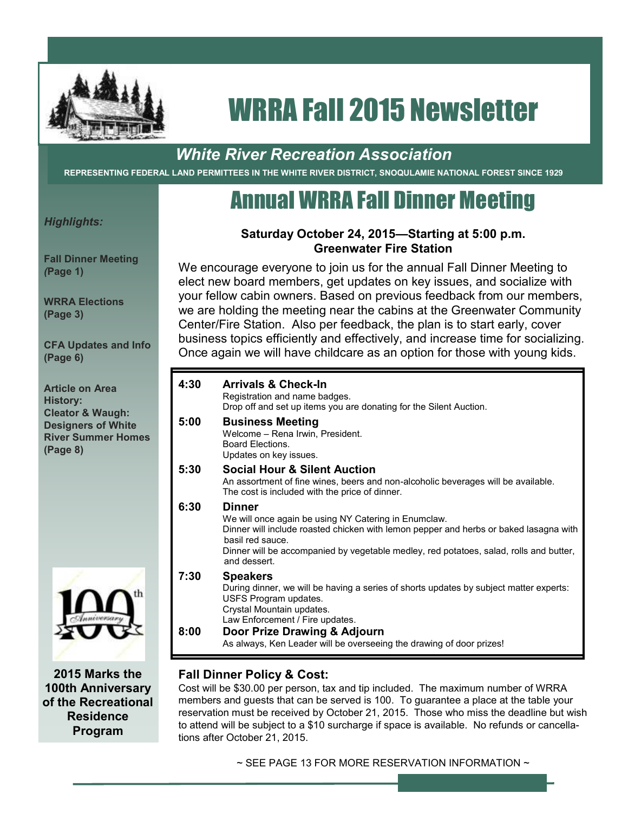

# *White River Recreation Association*

**REPRESENTING FEDERAL LAND PERMITTEES IN THE WHITE RIVER DISTRICT, SNOQULAMIE NATIONAL FOREST SINCE 1929**

# Annual WRRA Fall Dinner Meeting

*Highlights:*

**Fall Dinner Meeting** *(***Page 1)**

**WRRA Elections (Page 3)**

**CFA Updates and Info (Page 6)**

**Article on Area History: Cleator & Waugh: Designers of White River Summer Homes (Page 8)**



**2015 Marks the 100th Anniversary of the Recreational Residence Program**

#### **Saturday October 24, 2015—Starting at 5:00 p.m. Greenwater Fire Station**

We encourage everyone to join us for the annual Fall Dinner Meeting to elect new board members, get updates on key issues, and socialize with your fellow cabin owners. Based on previous feedback from our members, we are holding the meeting near the cabins at the Greenwater Community Center/Fire Station. Also per feedback, the plan is to start early, cover business topics efficiently and effectively, and increase time for socializing. Once again we will have childcare as an option for those with young kids.

| 4:30         | <b>Arrivals &amp; Check-In</b><br>Registration and name badges.<br>Drop off and set up items you are donating for the Silent Auction.                                                                                                                                                |
|--------------|--------------------------------------------------------------------------------------------------------------------------------------------------------------------------------------------------------------------------------------------------------------------------------------|
| 5:00         | <b>Business Meeting</b><br>Welcome - Rena Irwin, President.<br><b>Board Flections</b><br>Updates on key issues.                                                                                                                                                                      |
| 5:30         | <b>Social Hour &amp; Silent Auction</b><br>An assortment of fine wines, beers and non-alcoholic beverages will be available.<br>The cost is included with the price of dinner.                                                                                                       |
| 6:30         | Dinner<br>We will once again be using NY Catering in Enumclaw.<br>Dinner will include roasted chicken with lemon pepper and herbs or baked lasagna with<br>basil red sauce.<br>Dinner will be accompanied by vegetable medley, red potatoes, salad, rolls and butter,<br>and dessert |
| 7:30<br>8:00 | <b>Speakers</b><br>During dinner, we will be having a series of shorts updates by subject matter experts:<br>USFS Program updates.<br>Crystal Mountain updates.<br>Law Enforcement / Fire updates.<br>Door Prize Drawing & Adjourn                                                   |
|              | As always, Ken Leader will be overseeing the drawing of door prizes!                                                                                                                                                                                                                 |

### **Fall Dinner Policy & Cost:**

Cost will be \$30.00 per person, tax and tip included. The maximum number of WRRA members and guests that can be served is 100. To guarantee a place at the table your reservation must be received by October 21, 2015. Those who miss the deadline but wish to attend will be subject to a \$10 surcharge if space is available. No refunds or cancellations after October 21, 2015.

 $\sim$  SEE PAGE 13 FOR MORE RESERVATION INFORMATION  $\sim$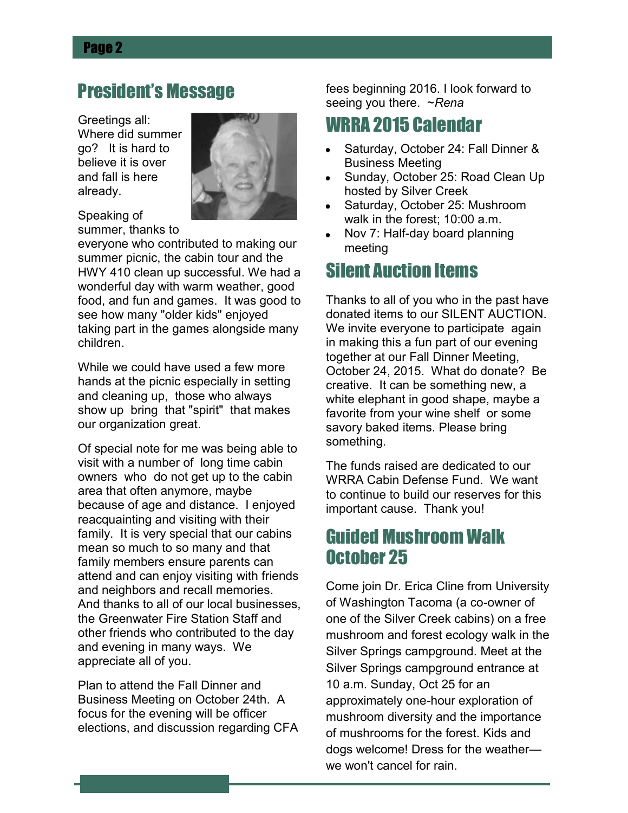# President's Message

Greetings all: Where did summer go? It is hard to believe it is over and fall is here already.



Speaking of summer, thanks to

everyone who contributed to making our summer picnic, the cabin tour and the HWY 410 clean up successful. We had a wonderful day with warm weather, good food, and fun and games. It was good to see how many "older kids" enjoyed taking part in the games alongside many children.

While we could have used a few more hands at the picnic especially in setting and cleaning up, those who always show up bring that "spirit" that makes our organization great.

Of special note for me was being able to visit with a number of long time cabin owners who do not get up to the cabin area that often anymore, maybe because of age and distance. I enjoyed reacquainting and visiting with their family. It is very special that our cabins mean so much to so many and that family members ensure parents can attend and can enjoy visiting with friends and neighbors and recall memories. And thanks to all of our local businesses, the Greenwater Fire Station Staff and other friends who contributed to the day and evening in many ways. We appreciate all of you.

Plan to attend the Fall Dinner and Business Meeting on October 24th. A focus for the evening will be officer elections, and discussion regarding CFA fees beginning 2016. I look forward to seeing you there. ~*Rena*

# WRRA 2015 Calendar

- Saturday, October 24: Fall Dinner & Business Meeting
- Sunday, October 25: Road Clean Up hosted by Silver Creek
- Saturday, October 25: Mushroom walk in the forest; 10:00 a.m.
- Nov 7: Half-day board planning  $\bullet$ meeting

# Silent Auction Items

Thanks to all of you who in the past have donated items to our SILENT AUCTION. We invite everyone to participate again in making this a fun part of our evening together at our Fall Dinner Meeting, October 24, 2015. What do donate? Be creative. It can be something new, a white elephant in good shape, maybe a favorite from your wine shelf or some savory baked items. Please bring something.

The funds raised are dedicated to our WRRA Cabin Defense Fund. We want to continue to build our reserves for this important cause. Thank you!

# Guided Mushroom Walk October 25

Come join Dr. Erica Cline from University of Washington Tacoma (a co-owner of one of the Silver Creek cabins) on a free mushroom and forest ecology walk in the Silver Springs campground. Meet at the Silver Springs campground entrance at 10 a.m. Sunday, Oct 25 for an approximately one-hour exploration of mushroom diversity and the importance of mushrooms for the forest. Kids and dogs welcome! Dress for the weather we won't cancel for rain.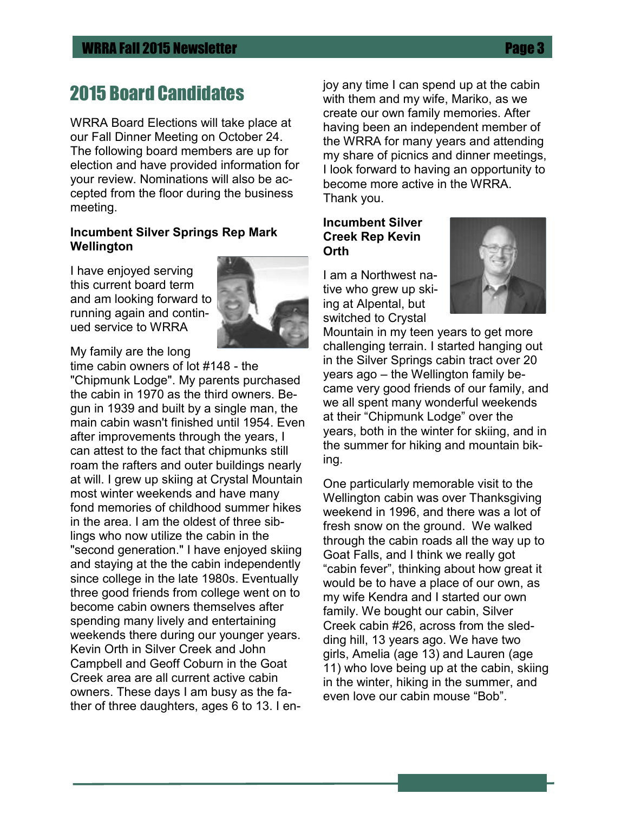# 2015 Board Candidates

WRRA Board Elections will take place at our Fall Dinner Meeting on October 24. The following board members are up for election and have provided information for your review. Nominations will also be accepted from the floor during the business meeting.

#### **Incumbent Silver Springs Rep Mark Wellington**

I have enjoyed serving this current board term and am looking forward to running again and continued service to WRRA



My family are the long time cabin owners of lot #148 - the

"Chipmunk Lodge". My parents purchased the cabin in 1970 as the third owners. Begun in 1939 and built by a single man, the main cabin wasn't finished until 1954. Even after improvements through the years, I can attest to the fact that chipmunks still roam the rafters and outer buildings nearly at will. I grew up skiing at Crystal Mountain most winter weekends and have many fond memories of childhood summer hikes in the area. I am the oldest of three siblings who now utilize the cabin in the "second generation." I have enjoyed skiing and staying at the the cabin independently since college in the late 1980s. Eventually three good friends from college went on to become cabin owners themselves after spending many lively and entertaining weekends there during our younger years. Kevin Orth in Silver Creek and John Campbell and Geoff Coburn in the Goat Creek area are all current active cabin owners. These days I am busy as the father of three daughters, ages 6 to 13. I enjoy any time I can spend up at the cabin with them and my wife, Mariko, as we create our own family memories. After having been an independent member of the WRRA for many years and attending my share of picnics and dinner meetings, I look forward to having an opportunity to become more active in the WRRA. Thank you.

#### **Incumbent Silver Creek Rep Kevin Orth**

I am a Northwest native who grew up skiing at Alpental, but switched to Crystal



Mountain in my teen years to get more challenging terrain. I started hanging out in the Silver Springs cabin tract over 20 years ago – the Wellington family became very good friends of our family, and we all spent many wonderful weekends at their "Chipmunk Lodge" over the years, both in the winter for skiing, and in the summer for hiking and mountain biking.

One particularly memorable visit to the Wellington cabin was over Thanksgiving weekend in 1996, and there was a lot of fresh snow on the ground. We walked through the cabin roads all the way up to Goat Falls, and I think we really got "cabin fever", thinking about how great it would be to have a place of our own, as my wife Kendra and I started our own family. We bought our cabin, Silver Creek cabin #26, across from the sledding hill, 13 years ago. We have two girls, Amelia (age 13) and Lauren (age 11) who love being up at the cabin, skiing in the winter, hiking in the summer, and even love our cabin mouse "Bob".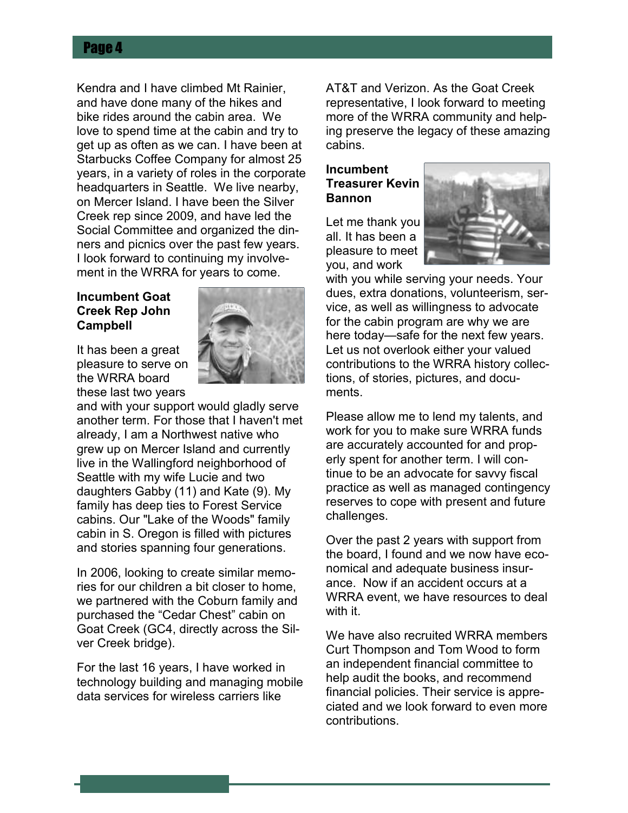Kendra and I have climbed Mt Rainier, and have done many of the hikes and bike rides around the cabin area. We love to spend time at the cabin and try to get up as often as we can. I have been at Starbucks Coffee Company for almost 25 years, in a variety of roles in the corporate headquarters in Seattle. We live nearby, on Mercer Island. I have been the Silver Creek rep since 2009, and have led the Social Committee and organized the dinners and picnics over the past few years. I look forward to continuing my involvement in the WRRA for years to come.

#### **Incumbent Goat Creek Rep John Campbell**

It has been a great pleasure to serve on the WRRA board these last two years



In 2006, looking to create similar memories for our children a bit closer to home, we partnered with the Coburn family and purchased the "Cedar Chest" cabin on Goat Creek (GC4, directly across the Silver Creek bridge).

For the last 16 years, I have worked in technology building and managing mobile data services for wireless carriers like

AT&T and Verizon. As the Goat Creek representative, I look forward to meeting more of the WRRA community and helping preserve the legacy of these amazing cabins.

#### **Incumbent Treasurer Kevin Bannon**

Let me thank you all. It has been a pleasure to meet you, and work



with you while serving your needs. Your dues, extra donations, volunteerism, service, as well as willingness to advocate for the cabin program are why we are here today—safe for the next few years. Let us not overlook either your valued contributions to the WRRA history collections, of stories, pictures, and documents.

Please allow me to lend my talents, and work for you to make sure WRRA funds are accurately accounted for and properly spent for another term. I will continue to be an advocate for savvy fiscal practice as well as managed contingency reserves to cope with present and future challenges.

Over the past 2 years with support from the board, I found and we now have economical and adequate business insurance. Now if an accident occurs at a WRRA event, we have resources to deal with it.

We have also recruited WRRA members Curt Thompson and Tom Wood to form an independent financial committee to help audit the books, and recommend financial policies. Their service is appreciated and we look forward to even more contributions.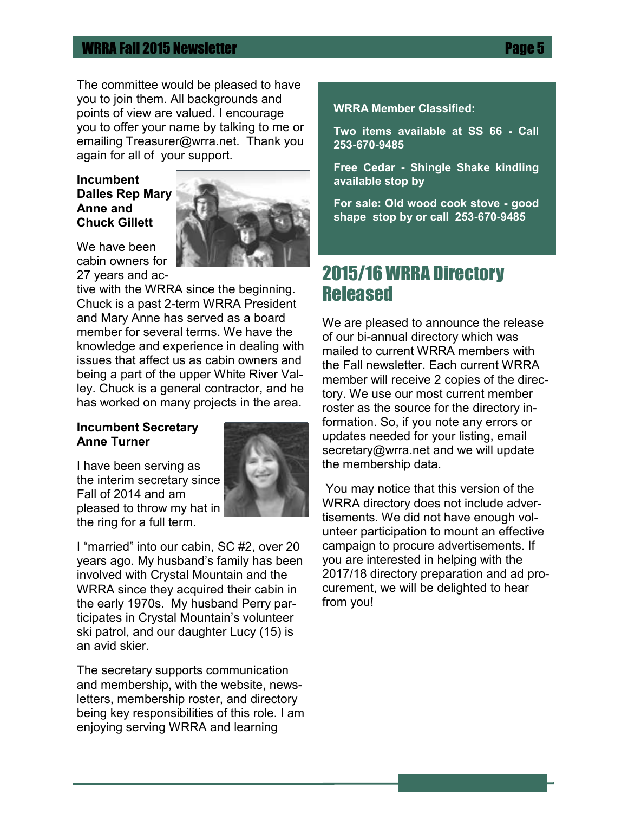The committee would be pleased to have you to join them. All backgrounds and points of view are valued. I encourage you to offer your name by talking to me or emailing Treasurer@wrra.net. Thank you again for all of your support.

#### **Incumbent Dalles Rep Mary Anne and Chuck Gillett**



We have been cabin owners for 27 years and ac-

tive with the WRRA since the beginning. Chuck is a past 2-term WRRA President and Mary Anne has served as a board member for several terms. We have the knowledge and experience in dealing with issues that affect us as cabin owners and being a part of the upper White River Valley. Chuck is a general contractor, and he has worked on many projects in the area.

#### **Incumbent Secretary Anne Turner**

I have been serving as the interim secretary since Fall of 2014 and am pleased to throw my hat in the ring for a full term.



I "married" into our cabin, SC #2, over 20 years ago. My husband's family has been involved with Crystal Mountain and the WRRA since they acquired their cabin in the early 1970s. My husband Perry participates in Crystal Mountain's volunteer ski patrol, and our daughter Lucy (15) is an avid skier.

The secretary supports communication and membership, with the website, newsletters, membership roster, and directory being key responsibilities of this role. I am enjoying serving WRRA and learning

#### **WRRA Member Classified:**

**Two items available at SS 66 - Call 253-670-9485**

**Free Cedar - Shingle Shake kindling available stop by** 

**For sale: Old wood cook stove - good shape stop by or call 253-670-9485**

# 2015/16 WRRA Directory Released

We are pleased to announce the release of our bi-annual directory which was mailed to current WRRA members with the Fall newsletter. Each current WRRA member will receive 2 copies of the directory. We use our most current member roster as the source for the directory information. So, if you note any errors or updates needed for your listing, email secretary@wrra.net and we will update the membership data.

You may notice that this version of the WRRA directory does not include advertisements. We did not have enough volunteer participation to mount an effective campaign to procure advertisements. If you are interested in helping with the 2017/18 directory preparation and ad procurement, we will be delighted to hear from you!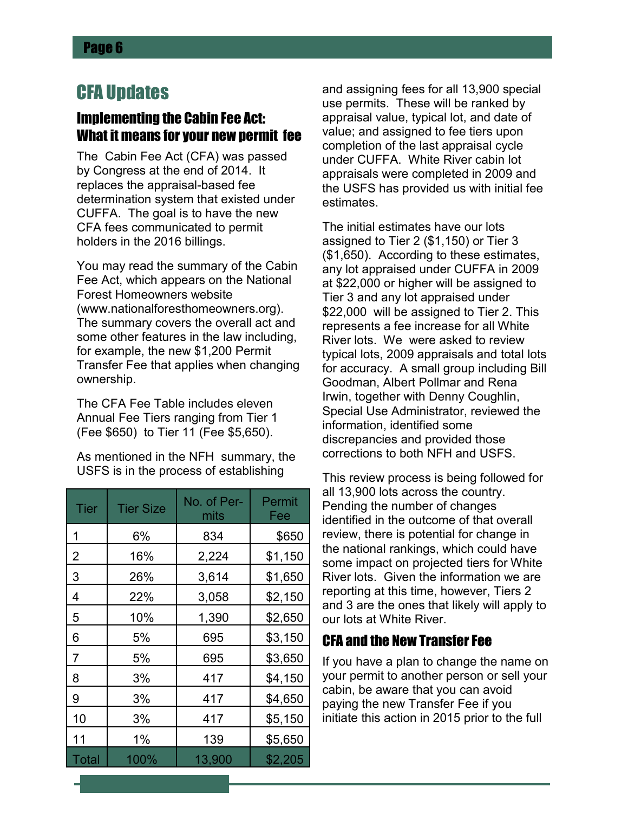# CFA Updates

## Implementing the Cabin Fee Act: What it means for your new permit fee

The Cabin Fee Act (CFA) was passed by Congress at the end of 2014. It replaces the appraisal-based fee determination system that existed under CUFFA. The goal is to have the new CFA fees communicated to permit holders in the 2016 billings.

You may read the summary of the Cabin Fee Act, which appears on the National Forest Homeowners website (www.nationalforesthomeowners.org). The summary covers the overall act and some other features in the law including, for example, the new \$1,200 Permit Transfer Fee that applies when changing ownership.

The CFA Fee Table includes eleven Annual Fee Tiers ranging from Tier 1 (Fee \$650) to Tier 11 (Fee \$5,650).

As mentioned in the NFH summary, the USFS is in the process of establishing

| Tier         | <b>Tier Size</b> | No. of Per-<br>mits | Permit<br>Fee |
|--------------|------------------|---------------------|---------------|
| 1            | 6%               | 834                 | \$650         |
| 2            | 16%              | 2,224               | \$1,150       |
| 3            | 26%              | 3,614               | \$1,650       |
| 4            | 22%              | 3,058               | \$2,150       |
| 5            | 10%              | 1,390               | \$2,650       |
| 6            | 5%               | 695                 | \$3,150       |
| 7            | 5%               | 695                 | \$3,650       |
| 8            | 3%               | 417                 | \$4,150       |
| 9            | 3%               | 417                 | \$4,650       |
| 10           | 3%               | 417                 | \$5,150       |
| 11           | 1%               | 139                 | \$5,650       |
| <b>Total</b> | 100%             | 13,900              | \$2,205       |

and assigning fees for all 13,900 special use permits. These will be ranked by appraisal value, typical lot, and date of value; and assigned to fee tiers upon completion of the last appraisal cycle under CUFFA. White River cabin lot appraisals were completed in 2009 and the USFS has provided us with initial fee estimates.

The initial estimates have our lots assigned to Tier 2 (\$1,150) or Tier 3 (\$1,650). According to these estimates, any lot appraised under CUFFA in 2009 at \$22,000 or higher will be assigned to Tier 3 and any lot appraised under \$22,000 will be assigned to Tier 2. This represents a fee increase for all White River lots. We were asked to review typical lots, 2009 appraisals and total lots for accuracy. A small group including Bill Goodman, Albert Pollmar and Rena Irwin, together with Denny Coughlin, Special Use Administrator, reviewed the information, identified some discrepancies and provided those corrections to both NFH and USFS.

This review process is being followed for all 13,900 lots across the country. Pending the number of changes identified in the outcome of that overall review, there is potential for change in the national rankings, which could have some impact on projected tiers for White River lots. Given the information we are reporting at this time, however, Tiers 2 and 3 are the ones that likely will apply to our lots at White River.

# CFA and the New Transfer Fee

If you have a plan to change the name on your permit to another person or sell your cabin, be aware that you can avoid paying the new Transfer Fee if you initiate this action in 2015 prior to the full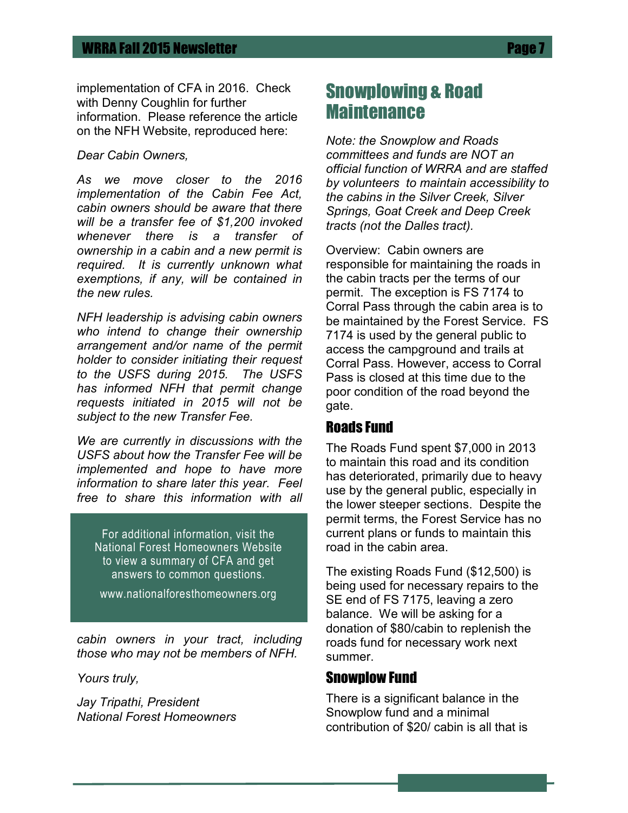implementation of CFA in 2016. Check with Denny Coughlin for further information. Please reference the article on the NFH Website, reproduced here:

*Dear Cabin Owners,*

*As we move closer to the 2016 implementation of the Cabin Fee Act, cabin owners should be aware that there will be a transfer fee of \$1,200 invoked whenever there is a transfer of ownership in a cabin and a new permit is required. It is currently unknown what exemptions, if any, will be contained in the new rules.*

*NFH leadership is advising cabin owners who intend to change their ownership arrangement and/or name of the permit holder to consider initiating their request to the USFS during 2015. The USFS has informed NFH that permit change requests initiated in 2015 will not be subject to the new Transfer Fee.*

*We are currently in discussions with the USFS about how the Transfer Fee will be implemented and hope to have more information to share later this year. Feel free to share this information with all* 

For additional information, visit the National Forest Homeowners Website to view a summary of CFA and get answers to common questions.

www.nationalforesthomeowners.org

*cabin owners in your tract, including those who may not be members of NFH.*

*Yours truly,*

*Jay Tripathi, President National Forest Homeowners*

# Snowplowing & Road **Maintenance**

*Note: the Snowplow and Roads committees and funds are NOT an official function of WRRA and are staffed by volunteers to maintain accessibility to the cabins in the Silver Creek, Silver Springs, Goat Creek and Deep Creek tracts (not the Dalles tract).*

Overview: Cabin owners are responsible for maintaining the roads in the cabin tracts per the terms of our permit. The exception is FS 7174 to Corral Pass through the cabin area is to be maintained by the Forest Service. FS 7174 is used by the general public to access the campground and trails at Corral Pass. However, access to Corral Pass is closed at this time due to the poor condition of the road beyond the gate.

### Roads Fund

The Roads Fund spent \$7,000 in 2013 to maintain this road and its condition has deteriorated, primarily due to heavy use by the general public, especially in the lower steeper sections. Despite the permit terms, the Forest Service has no current plans or funds to maintain this road in the cabin area.

The existing Roads Fund (\$12,500) is being used for necessary repairs to the SE end of FS 7175, leaving a zero balance. We will be asking for a donation of \$80/cabin to replenish the roads fund for necessary work next summer.

#### Snowplow Fund

There is a significant balance in the Snowplow fund and a minimal contribution of \$20/ cabin is all that is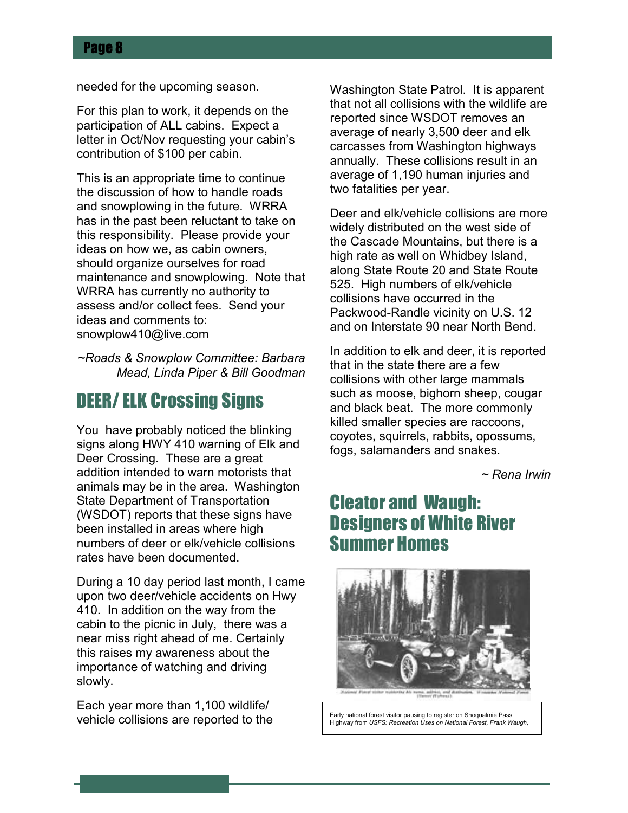needed for the upcoming season.

For this plan to work, it depends on the participation of ALL cabins. Expect a letter in Oct/Nov requesting your cabin's contribution of \$100 per cabin.

This is an appropriate time to continue the discussion of how to handle roads and snowplowing in the future. WRRA has in the past been reluctant to take on this responsibility. Please provide your ideas on how we, as cabin owners, should organize ourselves for road maintenance and snowplowing. Note that WRRA has currently no authority to assess and/or collect fees. Send your ideas and comments to: snowplow410@live.com

*~Roads & Snowplow Committee: Barbara Mead, Linda Piper & Bill Goodman*

# DEER/ ELK Crossing Signs

You have probably noticed the blinking signs along HWY 410 warning of Elk and Deer Crossing. These are a great addition intended to warn motorists that animals may be in the area. Washington State Department of Transportation (WSDOT) reports that these signs have been installed in areas where high numbers of deer or elk/vehicle collisions rates have been documented.

During a 10 day period last month, I came upon two deer/vehicle accidents on Hwy 410. In addition on the way from the cabin to the picnic in July, there was a near miss right ahead of me. Certainly this raises my awareness about the importance of watching and driving slowly.

Each year more than 1,100 wildlife/ vehicle collisions are reported to the Washington State Patrol. It is apparent that not all collisions with the wildlife are reported since WSDOT removes an average of nearly 3,500 deer and elk carcasses from Washington highways annually. These collisions result in an average of 1,190 human injuries and two fatalities per year.

Deer and elk/vehicle collisions are more widely distributed on the west side of the Cascade Mountains, but there is a high rate as well on Whidbey Island, along State Route 20 and State Route 525. High numbers of elk/vehicle collisions have occurred in the Packwood-Randle vicinity on U.S. 12 and on Interstate 90 near North Bend.

In addition to elk and deer, it is reported that in the state there are a few collisions with other large mammals such as moose, bighorn sheep, cougar and black beat. The more commonly killed smaller species are raccoons, coyotes, squirrels, rabbits, opossums, fogs, salamanders and snakes.

*~ Rena Irwin*

# Cleator and Waugh: Designers of White River Summer Homes



Early national forest visitor pausing to register on Snoqualmie Pass Highway from *USFS: Recreation Uses on National Forest, Frank Waugh,*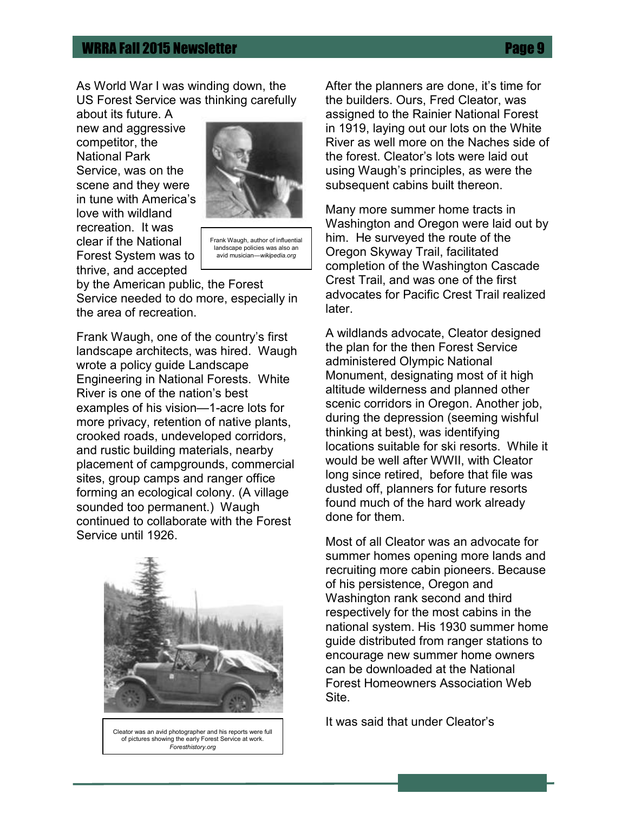As World War I was winding down, the US Forest Service was thinking carefully

about its future. A new and aggressive competitor, the National Park Service, was on the scene and they were in tune with America's love with wildland recreation. It was clear if the National Forest System was to thrive, and accepted



Frank Waugh, author of influential landscape policies was also an avid musician—*wikipedia.org*

by the American public, the Forest Service needed to do more, especially in the area of recreation.

Frank Waugh, one of the country's first landscape architects, was hired. Waugh wrote a policy guide Landscape Engineering in National Forests. White River is one of the nation's best examples of his vision—1-acre lots for more privacy, retention of native plants, crooked roads, undeveloped corridors, and rustic building materials, nearby placement of campgrounds, commercial sites, group camps and ranger office forming an ecological colony. (A village sounded too permanent.) Waugh continued to collaborate with the Forest Service until 1926.



Cleator was an avid photographer and his reports were full of pictures showing the early Forest Service at work. *Foresthistory.org*

After the planners are done, it's time for the builders. Ours, Fred Cleator, was assigned to the Rainier National Forest in 1919, laying out our lots on the White River as well more on the Naches side of the forest. Cleator's lots were laid out using Waugh's principles, as were the subsequent cabins built thereon.

Many more summer home tracts in Washington and Oregon were laid out by him. He surveyed the route of the Oregon Skyway Trail, facilitated completion of the Washington Cascade Crest Trail, and was one of the first advocates for Pacific Crest Trail realized later.

A wildlands advocate, Cleator designed the plan for the then Forest Service administered Olympic National Monument, designating most of it high altitude wilderness and planned other scenic corridors in Oregon. Another job, during the depression (seeming wishful thinking at best), was identifying locations suitable for ski resorts. While it would be well after WWII, with Cleator long since retired, before that file was dusted off, planners for future resorts found much of the hard work already done for them.

Most of all Cleator was an advocate for summer homes opening more lands and recruiting more cabin pioneers. Because of his persistence, Oregon and Washington rank second and third respectively for the most cabins in the national system. His 1930 summer home guide distributed from ranger stations to encourage new summer home owners can be downloaded at the National Forest Homeowners Association Web Site.

It was said that under Cleator's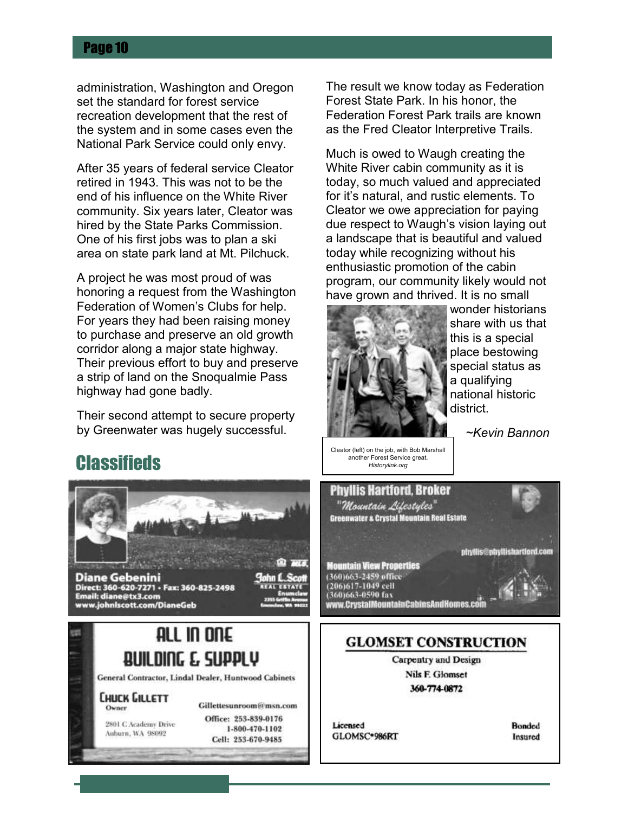administration, Washington and Oregon set the standard for forest service recreation development that the rest of the system and in some cases even the National Park Service could only envy.

After 35 years of federal service Cleator retired in 1943. This was not to be the end of his influence on the White River community. Six years later, Cleator was hired by the State Parks Commission. One of his first jobs was to plan a ski area on state park land at Mt. Pilchuck.

A project he was most proud of was honoring a request from the Washington Federation of Women's Clubs for help. For years they had been raising money to purchase and preserve an old growth corridor along a major state highway. Their previous effort to buy and preserve a strip of land on the Snoqualmie Pass highway had gone badly.

Their second attempt to secure property by Greenwater was hugely successful.

**Classifieds** 

The result we know today as Federation Forest State Park. In his honor, the Federation Forest Park trails are known as the Fred Cleator Interpretive Trails.

Much is owed to Waugh creating the White River cabin community as it is today, so much valued and appreciated for it's natural, and rustic elements. To Cleator we owe appreciation for paying due respect to Waugh's vision laying out a landscape that is beautiful and valued today while recognizing without his enthusiastic promotion of the cabin program, our community likely would not have grown and thrived. It is no small



wonder historians share with us that this is a special place bestowing special status as a qualifying national historic district.

*~Kevin Bannon*

#### Cleator (left) on the job, with Bob Marshall another Forest Service great*. Historylink.org*

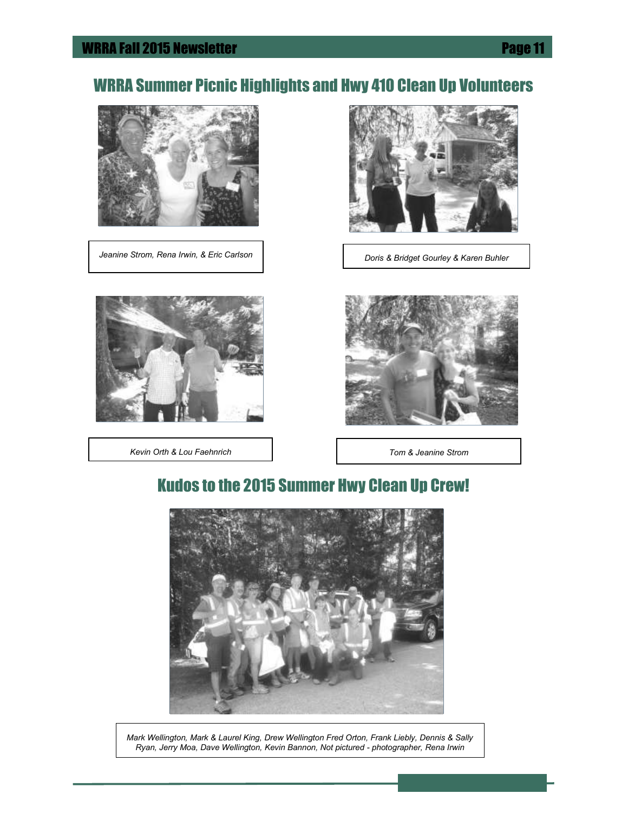# WRRA Summer Picnic Highlights and Hwy 410 Clean Up Volunteers



*Jeanine Strom, Rena Irwin, & Eric Carlson* | *Doris & Bridget Gourley & Karen Buhler* 



*Kevin Orth & Lou Faehnrich Tom & Jeanine Strom*





# Kudos to the 2015 Summer Hwy Clean Up Crew!



*Mark Wellington, Mark & Laurel King, Drew Wellington Fred Orton, Frank Liebly, Dennis & Sally Ryan, Jerry Moa, Dave Wellington, Kevin Bannon, Not pictured - photographer, Rena Irwin*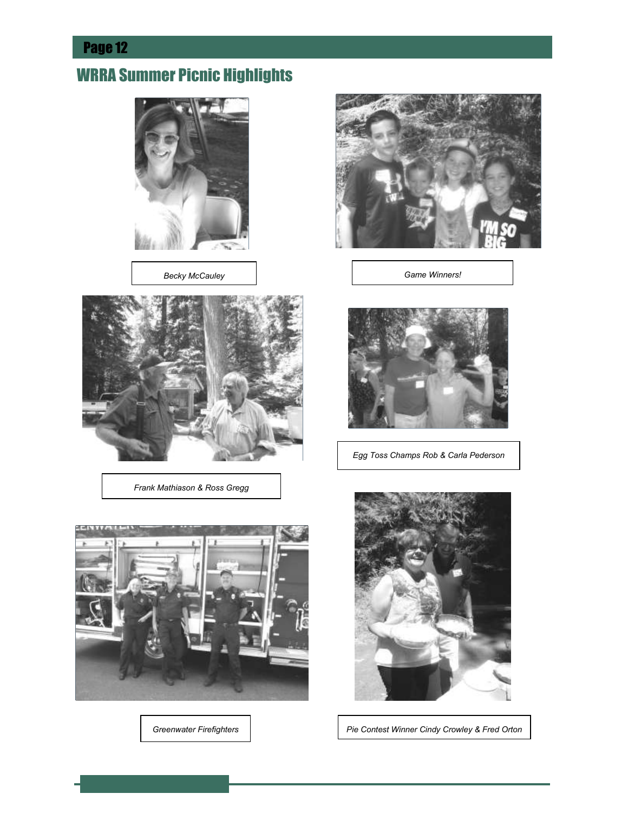# WRRA Summer Picnic Highlights



*Becky McCauley*



*Frank Mathiason & Ross Gregg*



*Greenwater Firefighters*



*Game Winners!*



*Egg Toss Champs Rob & Carla Pederson* 



*Pie Contest Winner Cindy Crowley & Fred Orton*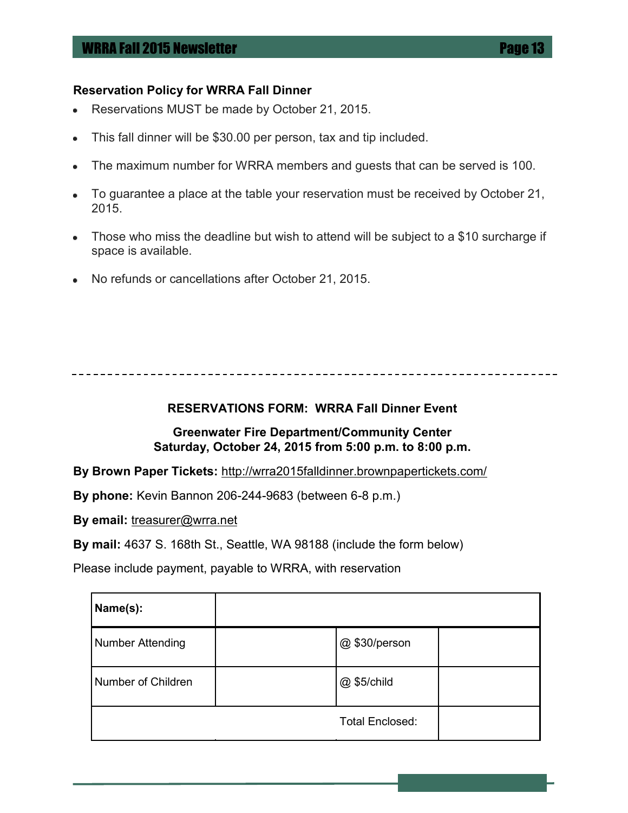#### **Reservation Policy for WRRA Fall Dinner**

- Reservations MUST be made by October 21, 2015.
- This fall dinner will be \$30.00 per person, tax and tip included.
- The maximum number for WRRA members and guests that can be served is 100.
- To guarantee a place at the table your reservation must be received by October 21, ٠ 2015.
- Those who miss the deadline but wish to attend will be subject to a \$10 surcharge if ۰. space is available.
- No refunds or cancellations after October 21, 2015.

#### **RESERVATIONS FORM: WRRA Fall Dinner Event**

#### **Greenwater Fire Department/Community Center Saturday, October 24, 2015 from 5:00 p.m. to 8:00 p.m.**

**By Brown Paper Tickets:** http://wrra2015falldinner.brownpapertickets.com/

**By phone:** Kevin Bannon 206-244-9683 (between 6-8 p.m.)

**By email:** treasurer@wrra.net

**By mail:** 4637 S. 168th St., Seattle, WA 98188 (include the form below)

Please include payment, payable to WRRA, with reservation

| Name(s):                |                        |  |
|-------------------------|------------------------|--|
| <b>Number Attending</b> | @\$30/person           |  |
| Number of Children      | @ \$5/child            |  |
|                         | <b>Total Enclosed:</b> |  |